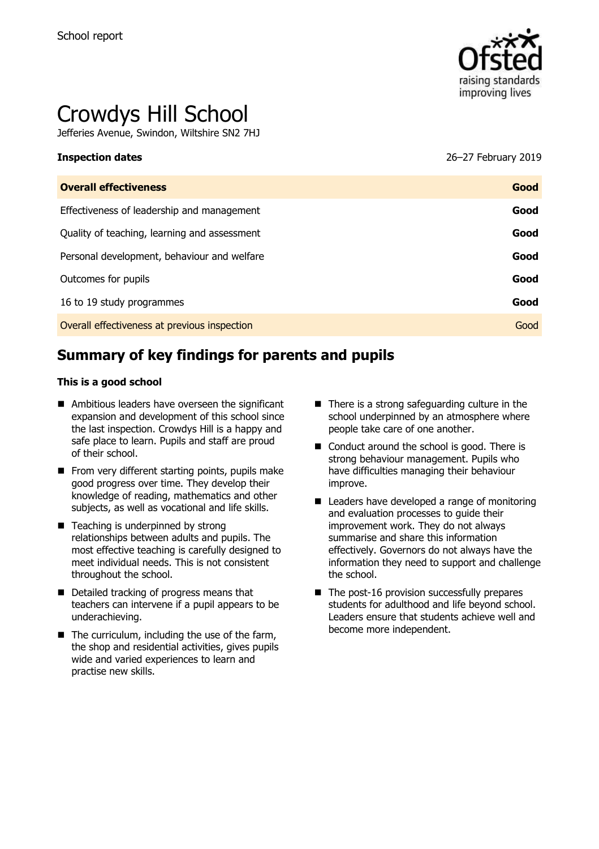

# Crowdys Hill School

Jefferies Avenue, Swindon, Wiltshire SN2 7HJ

**Inspection dates** 26–27 February 2019

| <b>Overall effectiveness</b>                 | Good |
|----------------------------------------------|------|
| Effectiveness of leadership and management   | Good |
| Quality of teaching, learning and assessment | Good |
| Personal development, behaviour and welfare  | Good |
| Outcomes for pupils                          | Good |
| 16 to 19 study programmes                    | Good |
| Overall effectiveness at previous inspection | Good |
|                                              |      |

# **Summary of key findings for parents and pupils**

#### **This is a good school**

- Ambitious leaders have overseen the significant expansion and development of this school since the last inspection. Crowdys Hill is a happy and safe place to learn. Pupils and staff are proud of their school.
- $\blacksquare$  From very different starting points, pupils make good progress over time. They develop their knowledge of reading, mathematics and other subjects, as well as vocational and life skills.
- Teaching is underpinned by strong relationships between adults and pupils. The most effective teaching is carefully designed to meet individual needs. This is not consistent throughout the school.
- Detailed tracking of progress means that teachers can intervene if a pupil appears to be underachieving.
- $\blacksquare$  The curriculum, including the use of the farm, the shop and residential activities, gives pupils wide and varied experiences to learn and practise new skills.
- $\blacksquare$  There is a strong safeguarding culture in the school underpinned by an atmosphere where people take care of one another.
- Conduct around the school is good. There is strong behaviour management. Pupils who have difficulties managing their behaviour improve.
- Leaders have developed a range of monitoring and evaluation processes to guide their improvement work. They do not always summarise and share this information effectively. Governors do not always have the information they need to support and challenge the school.
- $\blacksquare$  The post-16 provision successfully prepares students for adulthood and life beyond school. Leaders ensure that students achieve well and become more independent.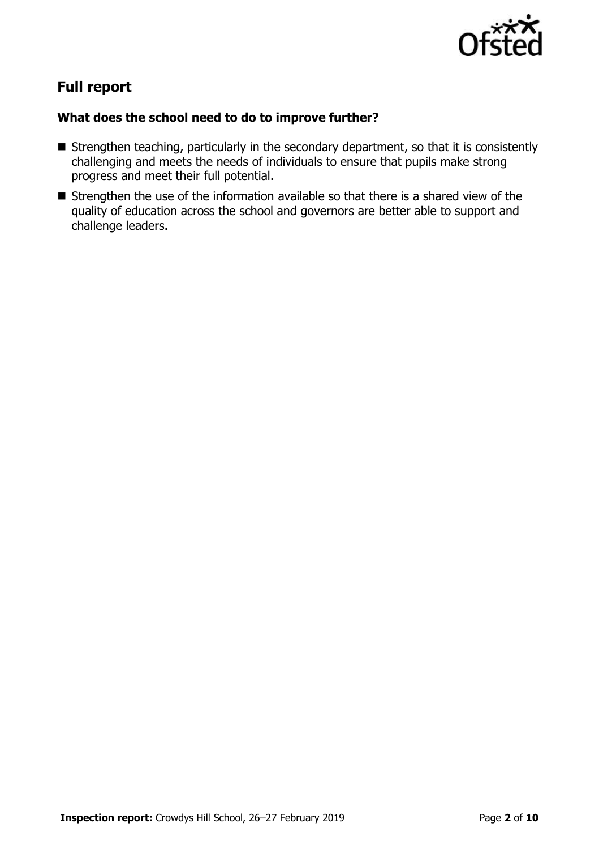

# **Full report**

### **What does the school need to do to improve further?**

- Strengthen teaching, particularly in the secondary department, so that it is consistently challenging and meets the needs of individuals to ensure that pupils make strong progress and meet their full potential.
- Strengthen the use of the information available so that there is a shared view of the quality of education across the school and governors are better able to support and challenge leaders.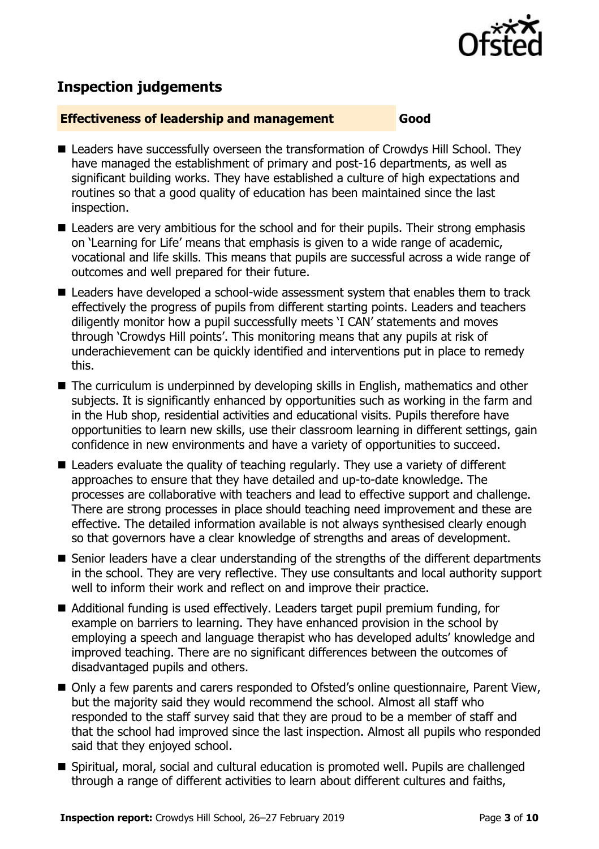

## **Inspection judgements**

#### **Effectiveness of leadership and management Good**

- Leaders have successfully overseen the transformation of Crowdys Hill School. They have managed the establishment of primary and post-16 departments, as well as significant building works. They have established a culture of high expectations and routines so that a good quality of education has been maintained since the last inspection.
- Leaders are very ambitious for the school and for their pupils. Their strong emphasis on 'Learning for Life' means that emphasis is given to a wide range of academic, vocational and life skills. This means that pupils are successful across a wide range of outcomes and well prepared for their future.
- Leaders have developed a school-wide assessment system that enables them to track effectively the progress of pupils from different starting points. Leaders and teachers diligently monitor how a pupil successfully meets 'I CAN' statements and moves through 'Crowdys Hill points'. This monitoring means that any pupils at risk of underachievement can be quickly identified and interventions put in place to remedy this.
- The curriculum is underpinned by developing skills in English, mathematics and other subjects. It is significantly enhanced by opportunities such as working in the farm and in the Hub shop, residential activities and educational visits. Pupils therefore have opportunities to learn new skills, use their classroom learning in different settings, gain confidence in new environments and have a variety of opportunities to succeed.
- Leaders evaluate the quality of teaching regularly. They use a variety of different approaches to ensure that they have detailed and up-to-date knowledge. The processes are collaborative with teachers and lead to effective support and challenge. There are strong processes in place should teaching need improvement and these are effective. The detailed information available is not always synthesised clearly enough so that governors have a clear knowledge of strengths and areas of development.
- Senior leaders have a clear understanding of the strengths of the different departments in the school. They are very reflective. They use consultants and local authority support well to inform their work and reflect on and improve their practice.
- Additional funding is used effectively. Leaders target pupil premium funding, for example on barriers to learning. They have enhanced provision in the school by employing a speech and language therapist who has developed adults' knowledge and improved teaching. There are no significant differences between the outcomes of disadvantaged pupils and others.
- Only a few parents and carers responded to Ofsted's online questionnaire, Parent View, but the majority said they would recommend the school. Almost all staff who responded to the staff survey said that they are proud to be a member of staff and that the school had improved since the last inspection. Almost all pupils who responded said that they enjoyed school.
- Spiritual, moral, social and cultural education is promoted well. Pupils are challenged through a range of different activities to learn about different cultures and faiths,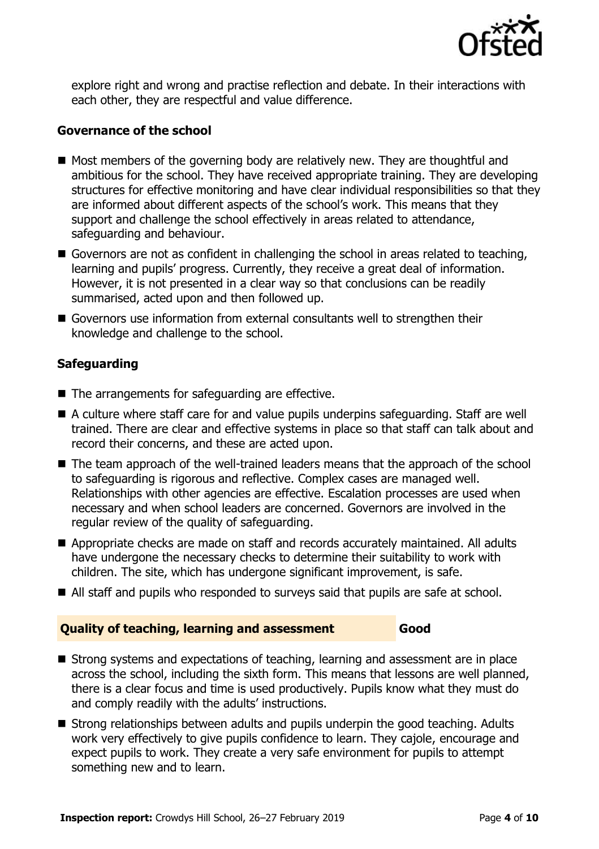

explore right and wrong and practise reflection and debate. In their interactions with each other, they are respectful and value difference.

#### **Governance of the school**

- Most members of the governing body are relatively new. They are thoughtful and ambitious for the school. They have received appropriate training. They are developing structures for effective monitoring and have clear individual responsibilities so that they are informed about different aspects of the school's work. This means that they support and challenge the school effectively in areas related to attendance, safeguarding and behaviour.
- Governors are not as confident in challenging the school in areas related to teaching, learning and pupils' progress. Currently, they receive a great deal of information. However, it is not presented in a clear way so that conclusions can be readily summarised, acted upon and then followed up.
- Governors use information from external consultants well to strengthen their knowledge and challenge to the school.

### **Safeguarding**

- The arrangements for safeguarding are effective.
- A culture where staff care for and value pupils underpins safeguarding. Staff are well trained. There are clear and effective systems in place so that staff can talk about and record their concerns, and these are acted upon.
- The team approach of the well-trained leaders means that the approach of the school to safeguarding is rigorous and reflective. Complex cases are managed well. Relationships with other agencies are effective. Escalation processes are used when necessary and when school leaders are concerned. Governors are involved in the regular review of the quality of safeguarding.
- Appropriate checks are made on staff and records accurately maintained. All adults have undergone the necessary checks to determine their suitability to work with children. The site, which has undergone significant improvement, is safe.
- All staff and pupils who responded to surveys said that pupils are safe at school.

#### **Quality of teaching, learning and assessment Good**

- Strong systems and expectations of teaching, learning and assessment are in place across the school, including the sixth form. This means that lessons are well planned, there is a clear focus and time is used productively. Pupils know what they must do and comply readily with the adults' instructions.
- Strong relationships between adults and pupils underpin the good teaching. Adults work very effectively to give pupils confidence to learn. They cajole, encourage and expect pupils to work. They create a very safe environment for pupils to attempt something new and to learn.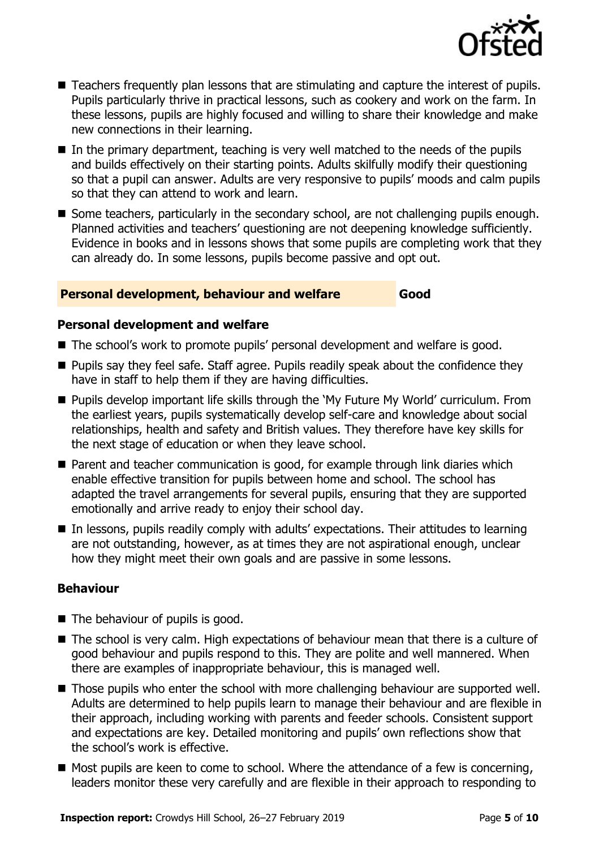

- Teachers frequently plan lessons that are stimulating and capture the interest of pupils. Pupils particularly thrive in practical lessons, such as cookery and work on the farm. In these lessons, pupils are highly focused and willing to share their knowledge and make new connections in their learning.
- In the primary department, teaching is very well matched to the needs of the pupils and builds effectively on their starting points. Adults skilfully modify their questioning so that a pupil can answer. Adults are very responsive to pupils' moods and calm pupils so that they can attend to work and learn.
- Some teachers, particularly in the secondary school, are not challenging pupils enough. Planned activities and teachers' questioning are not deepening knowledge sufficiently. Evidence in books and in lessons shows that some pupils are completing work that they can already do. In some lessons, pupils become passive and opt out.

#### **Personal development, behaviour and welfare Good**

### **Personal development and welfare**

- The school's work to promote pupils' personal development and welfare is good.
- **Pupils say they feel safe. Staff agree. Pupils readily speak about the confidence they** have in staff to help them if they are having difficulties.
- Pupils develop important life skills through the 'My Future My World' curriculum. From the earliest years, pupils systematically develop self-care and knowledge about social relationships, health and safety and British values. They therefore have key skills for the next stage of education or when they leave school.
- Parent and teacher communication is good, for example through link diaries which enable effective transition for pupils between home and school. The school has adapted the travel arrangements for several pupils, ensuring that they are supported emotionally and arrive ready to enjoy their school day.
- In lessons, pupils readily comply with adults' expectations. Their attitudes to learning are not outstanding, however, as at times they are not aspirational enough, unclear how they might meet their own goals and are passive in some lessons.

### **Behaviour**

- The behaviour of pupils is good.
- The school is very calm. High expectations of behaviour mean that there is a culture of good behaviour and pupils respond to this. They are polite and well mannered. When there are examples of inappropriate behaviour, this is managed well.
- Those pupils who enter the school with more challenging behaviour are supported well. Adults are determined to help pupils learn to manage their behaviour and are flexible in their approach, including working with parents and feeder schools. Consistent support and expectations are key. Detailed monitoring and pupils' own reflections show that the school's work is effective.
- $\blacksquare$  Most pupils are keen to come to school. Where the attendance of a few is concerning, leaders monitor these very carefully and are flexible in their approach to responding to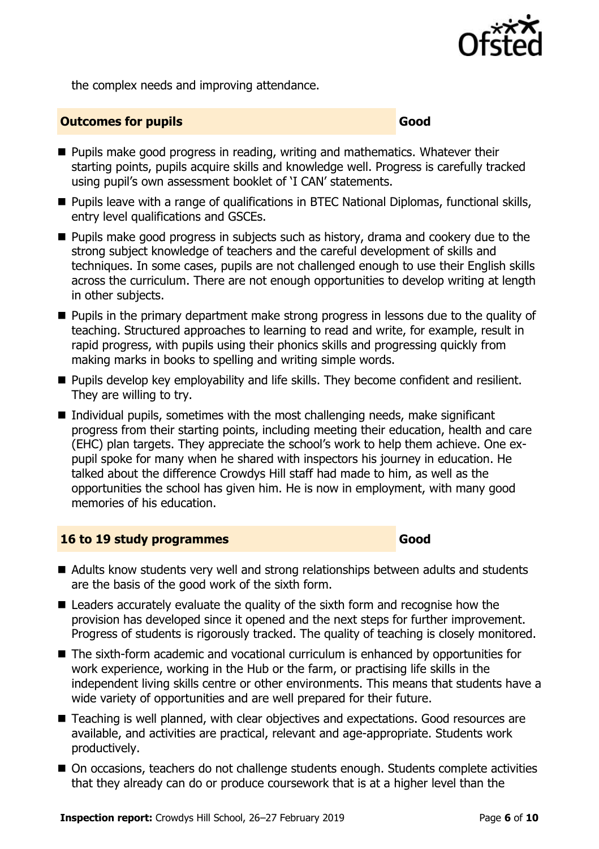

the complex needs and improving attendance.

#### **Outcomes for pupils Good Good**

- **Pupils make good progress in reading, writing and mathematics. Whatever their** starting points, pupils acquire skills and knowledge well. Progress is carefully tracked using pupil's own assessment booklet of 'I CAN' statements.
- Pupils leave with a range of qualifications in BTEC National Diplomas, functional skills, entry level qualifications and GSCEs.
- **Pupils make good progress in subjects such as history, drama and cookery due to the** strong subject knowledge of teachers and the careful development of skills and techniques. In some cases, pupils are not challenged enough to use their English skills across the curriculum. There are not enough opportunities to develop writing at length in other subjects.
- **Pupils in the primary department make strong progress in lessons due to the quality of** teaching. Structured approaches to learning to read and write, for example, result in rapid progress, with pupils using their phonics skills and progressing quickly from making marks in books to spelling and writing simple words.
- **Pupils develop key employability and life skills. They become confident and resilient.** They are willing to try.
- Individual pupils, sometimes with the most challenging needs, make significant progress from their starting points, including meeting their education, health and care (EHC) plan targets. They appreciate the school's work to help them achieve. One expupil spoke for many when he shared with inspectors his journey in education. He talked about the difference Crowdys Hill staff had made to him, as well as the opportunities the school has given him. He is now in employment, with many good memories of his education.

#### **16 to 19 study programmes Good**

- Adults know students very well and strong relationships between adults and students are the basis of the good work of the sixth form.
- Leaders accurately evaluate the quality of the sixth form and recognise how the provision has developed since it opened and the next steps for further improvement. Progress of students is rigorously tracked. The quality of teaching is closely monitored.
- The sixth-form academic and vocational curriculum is enhanced by opportunities for work experience, working in the Hub or the farm, or practising life skills in the independent living skills centre or other environments. This means that students have a wide variety of opportunities and are well prepared for their future.
- Teaching is well planned, with clear objectives and expectations. Good resources are available, and activities are practical, relevant and age-appropriate. Students work productively.
- On occasions, teachers do not challenge students enough. Students complete activities that they already can do or produce coursework that is at a higher level than the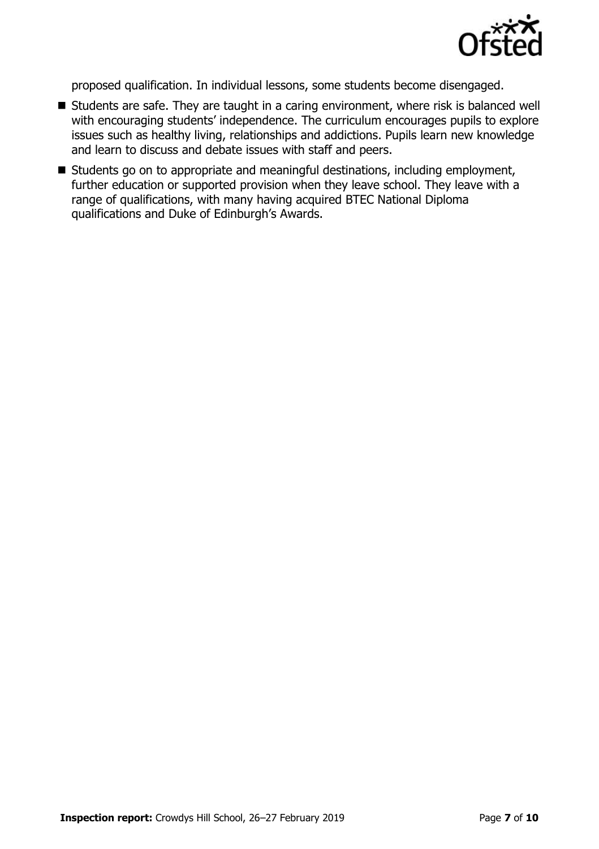

proposed qualification. In individual lessons, some students become disengaged.

- Students are safe. They are taught in a caring environment, where risk is balanced well with encouraging students' independence. The curriculum encourages pupils to explore issues such as healthy living, relationships and addictions. Pupils learn new knowledge and learn to discuss and debate issues with staff and peers.
- Students go on to appropriate and meaningful destinations, including employment, further education or supported provision when they leave school. They leave with a range of qualifications, with many having acquired BTEC National Diploma qualifications and Duke of Edinburgh's Awards.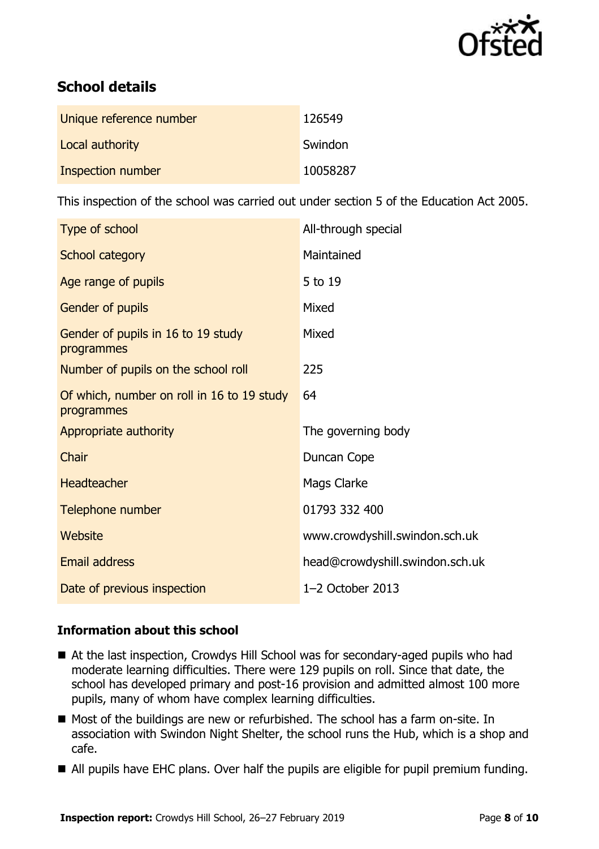

# **School details**

| Unique reference number | 126549   |
|-------------------------|----------|
| Local authority         | Swindon  |
| Inspection number       | 10058287 |

This inspection of the school was carried out under section 5 of the Education Act 2005.

| Type of school                                           | All-through special             |
|----------------------------------------------------------|---------------------------------|
| School category                                          | Maintained                      |
| Age range of pupils                                      | 5 to 19                         |
| Gender of pupils                                         | Mixed                           |
| Gender of pupils in 16 to 19 study<br>programmes         | Mixed                           |
| Number of pupils on the school roll                      | 225                             |
| Of which, number on roll in 16 to 19 study<br>programmes | 64                              |
| Appropriate authority                                    | The governing body              |
| Chair                                                    | Duncan Cope                     |
| <b>Headteacher</b>                                       | Mags Clarke                     |
| Telephone number                                         | 01793 332 400                   |
| Website                                                  | www.crowdyshill.swindon.sch.uk  |
| Email address                                            | head@crowdyshill.swindon.sch.uk |
| Date of previous inspection                              | $1-2$ October 2013              |

### **Information about this school**

- At the last inspection, Crowdys Hill School was for secondary-aged pupils who had moderate learning difficulties. There were 129 pupils on roll. Since that date, the school has developed primary and post-16 provision and admitted almost 100 more pupils, many of whom have complex learning difficulties.
- Most of the buildings are new or refurbished. The school has a farm on-site. In association with Swindon Night Shelter, the school runs the Hub, which is a shop and cafe.
- All pupils have EHC plans. Over half the pupils are eligible for pupil premium funding.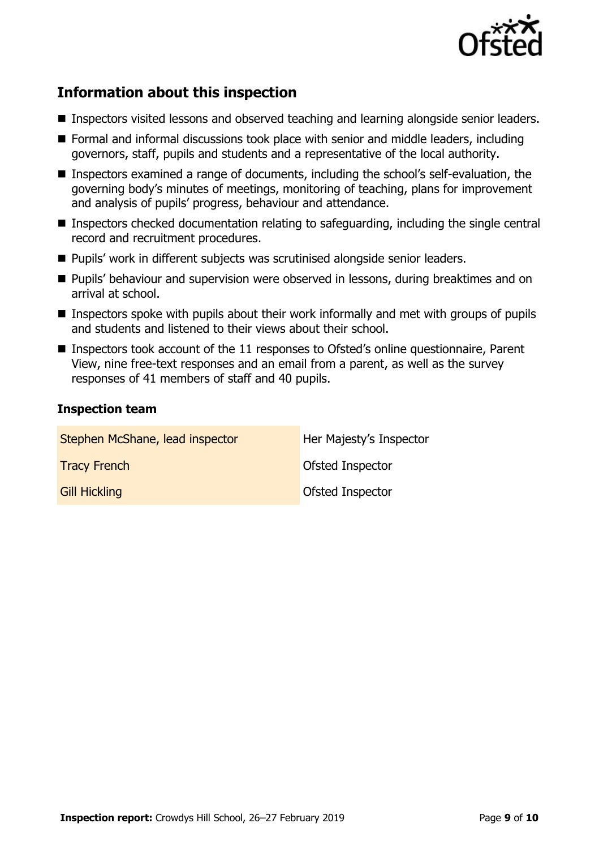

# **Information about this inspection**

- **Inspectors visited lessons and observed teaching and learning alongside senior leaders.**
- Formal and informal discussions took place with senior and middle leaders, including governors, staff, pupils and students and a representative of the local authority.
- Inspectors examined a range of documents, including the school's self-evaluation, the governing body's minutes of meetings, monitoring of teaching, plans for improvement and analysis of pupils' progress, behaviour and attendance.
- Inspectors checked documentation relating to safeguarding, including the single central record and recruitment procedures.
- Pupils' work in different subjects was scrutinised alongside senior leaders.
- **Pupils' behaviour and supervision were observed in lessons, during breaktimes and on** arrival at school.
- $\blacksquare$  Inspectors spoke with pupils about their work informally and met with groups of pupils and students and listened to their views about their school.
- Inspectors took account of the 11 responses to Ofsted's online questionnaire, Parent View, nine free-text responses and an email from a parent, as well as the survey responses of 41 members of staff and 40 pupils.

### **Inspection team**

| Stephen McShane, lead inspector | Her Majesty's Inspector |
|---------------------------------|-------------------------|
| <b>Tracy French</b>             | Ofsted Inspector        |
| <b>Gill Hickling</b>            | Ofsted Inspector        |